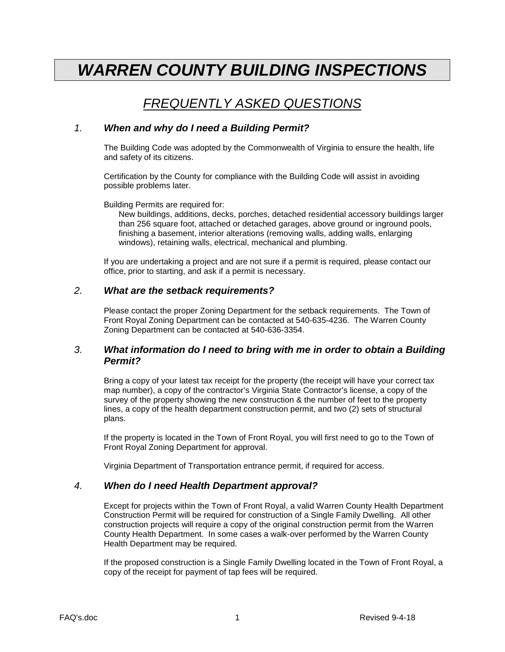# *WARREN COUNTY BUILDING INSPECTIONS*

# *FREQUENTLY ASKED QUESTIONS*

# *1. When and why do I need a Building Permit?*

The Building Code was adopted by the Commonwealth of Virginia to ensure the health, life and safety of its citizens.

Certification by the County for compliance with the Building Code will assist in avoiding possible problems later.

Building Permits are required for:

New buildings, additions, decks, porches, detached residential accessory buildings larger than 256 square foot, attached or detached garages, above ground or inground pools, finishing a basement, interior alterations (removing walls, adding walls, enlarging windows), retaining walls, electrical, mechanical and plumbing.

If you are undertaking a project and are not sure if a permit is required, please contact our office, prior to starting, and ask if a permit is necessary.

#### *2. What are the setback requirements?*

Please contact the proper Zoning Department for the setback requirements. The Town of Front Royal Zoning Department can be contacted at 540-635-4236. The Warren County Zoning Department can be contacted at 540-636-3354.

# *3. What information do I need to bring with me in order to obtain a Building Permit?*

Bring a copy of your latest tax receipt for the property (the receipt will have your correct tax map number), a copy of the contractor's Virginia State Contractor's license, a copy of the survey of the property showing the new construction & the number of feet to the property lines, a copy of the health department construction permit, and two (2) sets of structural plans.

If the property is located in the Town of Front Royal, you will first need to go to the Town of Front Royal Zoning Department for approval.

Virginia Department of Transportation entrance permit, if required for access.

# *4. When do I need Health Department approval?*

Except for projects within the Town of Front Royal, a valid Warren County Health Department Construction Permit will be required for construction of a Single Family Dwelling. All other construction projects will require a copy of the original construction permit from the Warren County Health Department. In some cases a walk-over performed by the Warren County Health Department may be required.

If the proposed construction is a Single Family Dwelling located in the Town of Front Royal, a copy of the receipt for payment of tap fees will be required.